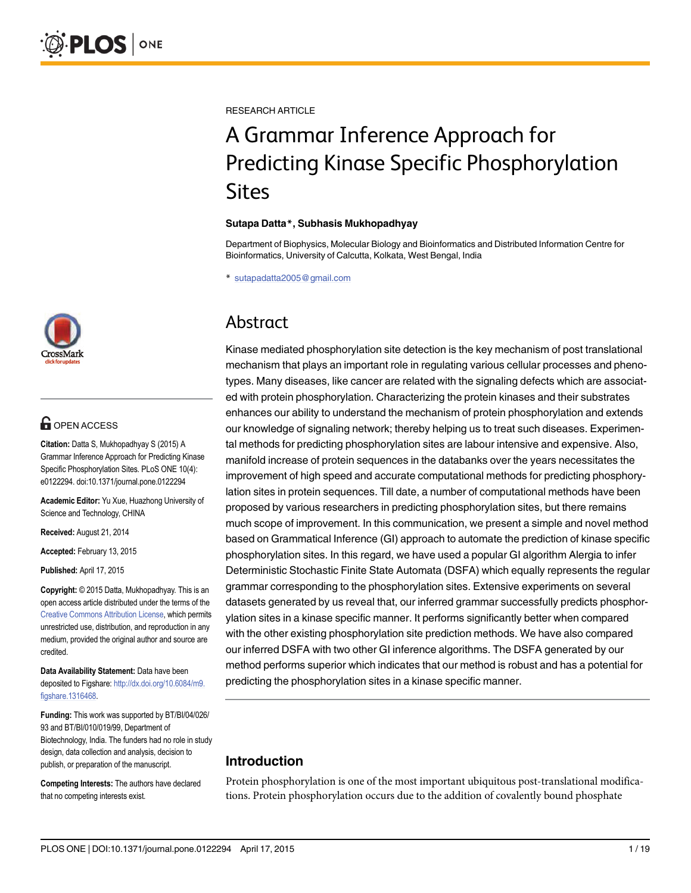

# **OPEN ACCESS**

Citation: Datta S, Mukhopadhyay S (2015) A Grammar Inference Approach for Predicting Kinase Specific Phosphorylation Sites. PLoS ONE 10(4): e0122294. doi:10.1371/journal.pone.0122294

Academic Editor: Yu Xue, Huazhong University of Science and Technology, CHINA

Received: August 21, 2014

Accepted: February 13, 2015

Published: April 17, 2015

Copyright: © 2015 Datta, Mukhopadhyay. This is an open access article distributed under the terms of the [Creative Commons Attribution License,](http://creativecommons.org/licenses/by/4.0/) which permits unrestricted use, distribution, and reproduction in any medium, provided the original author and source are credited.

Data Availability Statement: Data have been deposited to Figshare: [http://dx.doi.org/10.6084/m9.](http://dx.doi.org/10.6084/m9.figshare.1316468) [figshare.1316468](http://dx.doi.org/10.6084/m9.figshare.1316468).

Funding: This work was supported by BT/BI/04/026/ 93 and BT/BI/010/019/99, Department of Biotechnology, India. The funders had no role in study design, data collection and analysis, decision to publish, or preparation of the manuscript.

Competing Interests: The authors have declared that no competing interests exist.

RESEARCH ARTICLE

# A Grammar Inference Approach for Predicting Kinase Specific Phosphorylation **Sites**

#### Sutapa Datta\*, Subhasis Mukhopadhyay

Department of Biophysics, Molecular Biology and Bioinformatics and Distributed Information Centre for Bioinformatics, University of Calcutta, Kolkata, West Bengal, India

\* sutapadatta2005@gmail.com

# Abstract

Kinase mediated phosphorylation site detection is the key mechanism of post translational mechanism that plays an important role in regulating various cellular processes and phenotypes. Many diseases, like cancer are related with the signaling defects which are associated with protein phosphorylation. Characterizing the protein kinases and their substrates enhances our ability to understand the mechanism of protein phosphorylation and extends our knowledge of signaling network; thereby helping us to treat such diseases. Experimental methods for predicting phosphorylation sites are labour intensive and expensive. Also, manifold increase of protein sequences in the databanks over the years necessitates the improvement of high speed and accurate computational methods for predicting phosphorylation sites in protein sequences. Till date, a number of computational methods have been proposed by various researchers in predicting phosphorylation sites, but there remains much scope of improvement. In this communication, we present a simple and novel method based on Grammatical Inference (GI) approach to automate the prediction of kinase specific phosphorylation sites. In this regard, we have used a popular GI algorithm Alergia to infer Deterministic Stochastic Finite State Automata (DSFA) which equally represents the regular grammar corresponding to the phosphorylation sites. Extensive experiments on several datasets generated by us reveal that, our inferred grammar successfully predicts phosphorylation sites in a kinase specific manner. It performs significantly better when compared with the other existing phosphorylation site prediction methods. We have also compared our inferred DSFA with two other GI inference algorithms. The DSFA generated by our method performs superior which indicates that our method is robust and has a potential for predicting the phosphorylation sites in a kinase specific manner.

# Introduction

Protein phosphorylation is one of the most important ubiquitous post-translational modifications. Protein phosphorylation occurs due to the addition of covalently bound phosphate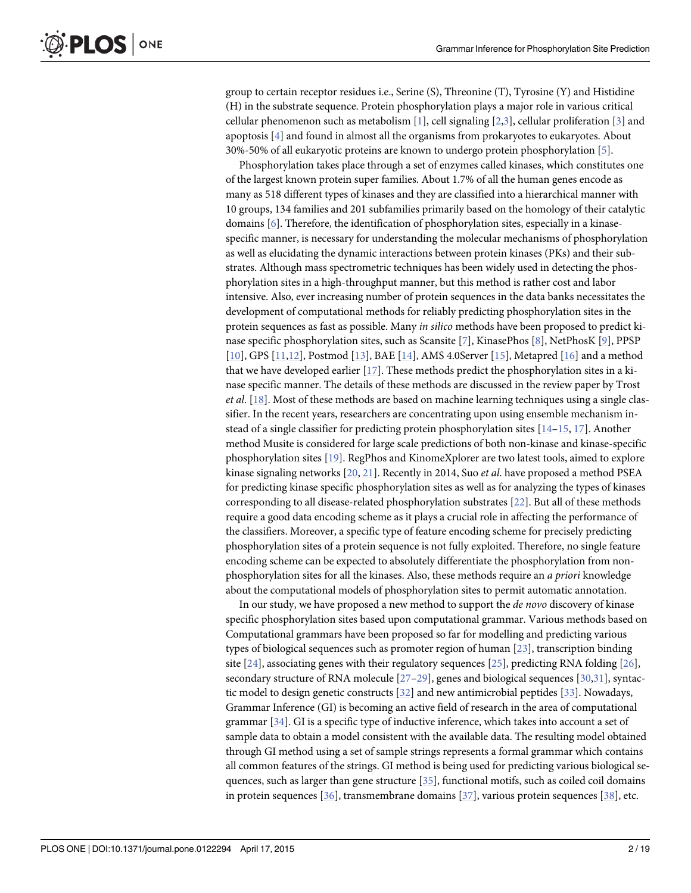<span id="page-1-0"></span>group to certain receptor residues i.e., Serine (S), Threonine (T), Tyrosine (Y) and Histidine (H) in the substrate sequence. Protein phosphorylation plays a major role in various critical cellular phenomenon such as metabolism [[1\]](#page-16-0), cell signaling [\[2](#page-16-0)[,3](#page-17-0)], cellular proliferation [\[3\]](#page-17-0) and apoptosis [\[4](#page-17-0)] and found in almost all the organisms from prokaryotes to eukaryotes. About 30%-50% of all eukaryotic proteins are known to undergo protein phosphorylation [\[5\]](#page-17-0).

Phosphorylation takes place through a set of enzymes called kinases, which constitutes one of the largest known protein super families. About 1.7% of all the human genes encode as many as 518 different types of kinases and they are classified into a hierarchical manner with 10 groups, 134 families and 201 subfamilies primarily based on the homology of their catalytic domains [\[6\]](#page-17-0). Therefore, the identification of phosphorylation sites, especially in a kinasespecific manner, is necessary for understanding the molecular mechanisms of phosphorylation as well as elucidating the dynamic interactions between protein kinases (PKs) and their substrates. Although mass spectrometric techniques has been widely used in detecting the phosphorylation sites in a high-throughput manner, but this method is rather cost and labor intensive. Also, ever increasing number of protein sequences in the data banks necessitates the development of computational methods for reliably predicting phosphorylation sites in the protein sequences as fast as possible. Many in silico methods have been proposed to predict ki-nase specific phosphorylation sites, such as Scansite [[7](#page-17-0)], KinasePhos [\[8](#page-17-0)], NetPhosK [[9](#page-17-0)], PPSP [\[10](#page-17-0)], GPS [[11,12](#page-17-0)], Postmod [\[13](#page-17-0)], BAE [[14](#page-17-0)], AMS 4.0Server [\[15\]](#page-17-0), Metapred [[16\]](#page-17-0) and a method that we have developed earlier [[17\]](#page-17-0). These methods predict the phosphorylation sites in a kinase specific manner. The details of these methods are discussed in the review paper by Trost et al. [\[18\]](#page-17-0). Most of these methods are based on machine learning techniques using a single classifier. In the recent years, researchers are concentrating upon using ensemble mechanism instead of a single classifier for predicting protein phosphorylation sites  $[14-15, 17]$  $[14-15, 17]$  $[14-15, 17]$  $[14-15, 17]$  $[14-15, 17]$  $[14-15, 17]$  $[14-15, 17]$ . Another method Musite is considered for large scale predictions of both non-kinase and kinase-specific phosphorylation sites [[19](#page-17-0)]. RegPhos and KinomeXplorer are two latest tools, aimed to explore kinase signaling networks [[20](#page-17-0), [21](#page-17-0)]. Recently in 2014, Suo *et al.* have proposed a method PSEA for predicting kinase specific phosphorylation sites as well as for analyzing the types of kinases corresponding to all disease-related phosphorylation substrates [[22](#page-17-0)]. But all of these methods require a good data encoding scheme as it plays a crucial role in affecting the performance of the classifiers. Moreover, a specific type of feature encoding scheme for precisely predicting phosphorylation sites of a protein sequence is not fully exploited. Therefore, no single feature encoding scheme can be expected to absolutely differentiate the phosphorylation from nonphosphorylation sites for all the kinases. Also, these methods require an a priori knowledge about the computational models of phosphorylation sites to permit automatic annotation.

In our study, we have proposed a new method to support the de novo discovery of kinase specific phosphorylation sites based upon computational grammar. Various methods based on Computational grammars have been proposed so far for modelling and predicting various types of biological sequences such as promoter region of human [\[23\]](#page-17-0), transcription binding site  $[24]$ , associating genes with their regulatory sequences  $[25]$  $[25]$  $[25]$ , predicting RNA folding  $[26]$  $[26]$ , secondary structure of RNA molecule [[27](#page-18-0)–[29\]](#page-18-0), genes and biological sequences [\[30,31\]](#page-18-0), syntactic model to design genetic constructs [\[32\]](#page-18-0) and new antimicrobial peptides [[33](#page-18-0)]. Nowadays, Grammar Inference (GI) is becoming an active field of research in the area of computational grammar [[34](#page-18-0)]. GI is a specific type of inductive inference, which takes into account a set of sample data to obtain a model consistent with the available data. The resulting model obtained through GI method using a set of sample strings represents a formal grammar which contains all common features of the strings. GI method is being used for predicting various biological se-quences, such as larger than gene structure [[35](#page-18-0)], functional motifs, such as coiled coil domains in protein sequences  $[36]$  $[36]$ , transmembrane domains  $[37]$  $[37]$  $[37]$ , various protein sequences  $[38]$ , etc.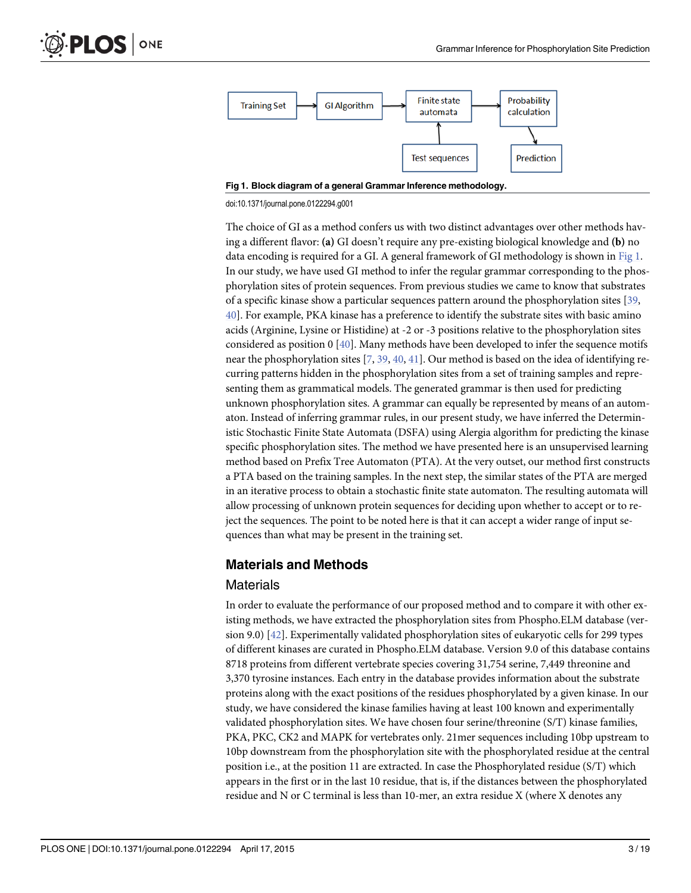<span id="page-2-0"></span>

#### Fig 1. Block diagram of a general Grammar Inference methodology.

doi:10.1371/journal.pone.0122294.g001

The choice of GI as a method confers us with two distinct advantages over other methods having a different flavor: (a) GI doesn't require any pre-existing biological knowledge and (b) no data encoding is required for a GI. A general framework of GI methodology is shown in Fig 1. In our study, we have used GI method to infer the regular grammar corresponding to the phosphorylation sites of protein sequences. From previous studies we came to know that substrates of a specific kinase show a particular sequences pattern around the phosphorylation sites [[39](#page-18-0), [40\]](#page-18-0). For example, PKA kinase has a preference to identify the substrate sites with basic amino acids (Arginine, Lysine or Histidine) at -2 or -3 positions relative to the phosphorylation sites considered as position  $0 \left[ 40 \right]$  $0 \left[ 40 \right]$  $0 \left[ 40 \right]$ . Many methods have been developed to infer the sequence motifs near the phosphorylation sites  $[7, 39, 40, 41]$  $[7, 39, 40, 41]$  $[7, 39, 40, 41]$  $[7, 39, 40, 41]$  $[7, 39, 40, 41]$  $[7, 39, 40, 41]$  $[7, 39, 40, 41]$ . Our method is based on the idea of identifying recurring patterns hidden in the phosphorylation sites from a set of training samples and representing them as grammatical models. The generated grammar is then used for predicting unknown phosphorylation sites. A grammar can equally be represented by means of an automaton. Instead of inferring grammar rules, in our present study, we have inferred the Deterministic Stochastic Finite State Automata (DSFA) using Alergia algorithm for predicting the kinase specific phosphorylation sites. The method we have presented here is an unsupervised learning method based on Prefix Tree Automaton (PTA). At the very outset, our method first constructs a PTA based on the training samples. In the next step, the similar states of the PTA are merged in an iterative process to obtain a stochastic finite state automaton. The resulting automata will allow processing of unknown protein sequences for deciding upon whether to accept or to reject the sequences. The point to be noted here is that it can accept a wider range of input sequences than what may be present in the training set.

#### Materials and Methods

#### **Materials**

In order to evaluate the performance of our proposed method and to compare it with other existing methods, we have extracted the phosphorylation sites from Phospho.ELM database (version 9.0) [[42](#page-18-0)]. Experimentally validated phosphorylation sites of eukaryotic cells for 299 types of different kinases are curated in Phospho.ELM database. Version 9.0 of this database contains 8718 proteins from different vertebrate species covering 31,754 serine, 7,449 threonine and 3,370 tyrosine instances. Each entry in the database provides information about the substrate proteins along with the exact positions of the residues phosphorylated by a given kinase. In our study, we have considered the kinase families having at least 100 known and experimentally validated phosphorylation sites. We have chosen four serine/threonine (S/T) kinase families, PKA, PKC, CK2 and MAPK for vertebrates only. 21mer sequences including 10bp upstream to 10bp downstream from the phosphorylation site with the phosphorylated residue at the central position i.e., at the position 11 are extracted. In case the Phosphorylated residue (S/T) which appears in the first or in the last 10 residue, that is, if the distances between the phosphorylated residue and N or C terminal is less than 10-mer, an extra residue X (where X denotes any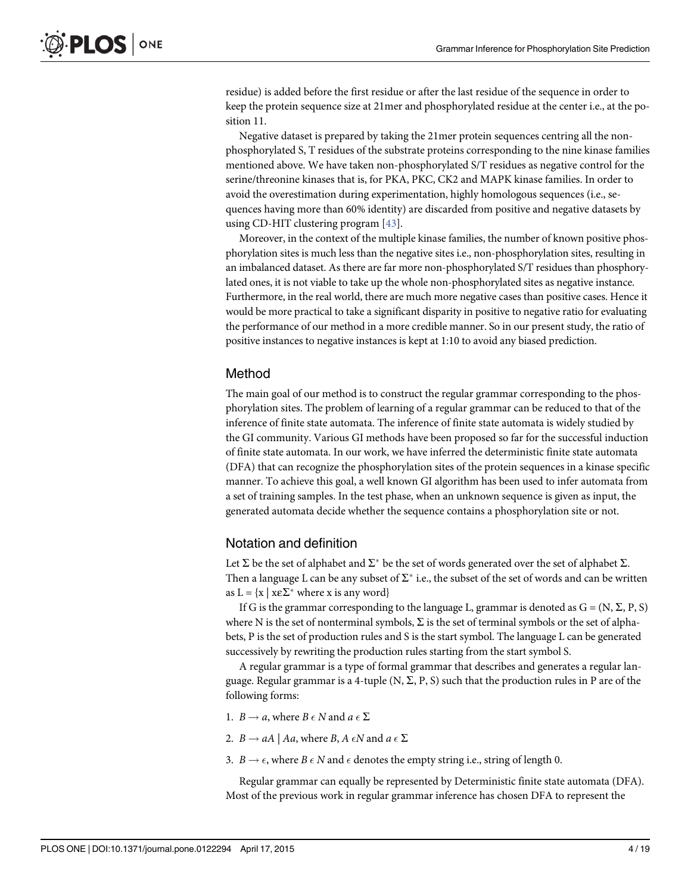<span id="page-3-0"></span>residue) is added before the first residue or after the last residue of the sequence in order to keep the protein sequence size at 21mer and phosphorylated residue at the center i.e., at the position 11.

Negative dataset is prepared by taking the 21mer protein sequences centring all the nonphosphorylated S, T residues of the substrate proteins corresponding to the nine kinase families mentioned above. We have taken non-phosphorylated S/T residues as negative control for the serine/threonine kinases that is, for PKA, PKC, CK2 and MAPK kinase families. In order to avoid the overestimation during experimentation, highly homologous sequences (i.e., sequences having more than 60% identity) are discarded from positive and negative datasets by using CD-HIT clustering program [[43](#page-18-0)].

Moreover, in the context of the multiple kinase families, the number of known positive phosphorylation sites is much less than the negative sites i.e., non-phosphorylation sites, resulting in an imbalanced dataset. As there are far more non-phosphorylated S/T residues than phosphorylated ones, it is not viable to take up the whole non-phosphorylated sites as negative instance. Furthermore, in the real world, there are much more negative cases than positive cases. Hence it would be more practical to take a significant disparity in positive to negative ratio for evaluating the performance of our method in a more credible manner. So in our present study, the ratio of positive instances to negative instances is kept at 1:10 to avoid any biased prediction.

#### Method

The main goal of our method is to construct the regular grammar corresponding to the phosphorylation sites. The problem of learning of a regular grammar can be reduced to that of the inference of finite state automata. The inference of finite state automata is widely studied by the GI community. Various GI methods have been proposed so far for the successful induction of finite state automata. In our work, we have inferred the deterministic finite state automata (DFA) that can recognize the phosphorylation sites of the protein sequences in a kinase specific manner. To achieve this goal, a well known GI algorithm has been used to infer automata from a set of training samples. In the test phase, when an unknown sequence is given as input, the generated automata decide whether the sequence contains a phosphorylation site or not.

#### Notation and definition

Let  $\Sigma$  be the set of alphabet and  $\Sigma^*$  be the set of words generated over the set of alphabet  $\Sigma$ . Then a language L can be any subset of  $\Sigma^*$  i.e., the subset of the set of words and can be written as  $L = \{x \mid x \in \Sigma^* \text{ where } x \text{ is any word}\}\$ 

If G is the grammar corresponding to the language L, grammar is denoted as  $G = (N, \Sigma, P, S)$ where N is the set of nonterminal symbols,  $\Sigma$  is the set of terminal symbols or the set of alphabets, P is the set of production rules and S is the start symbol. The language L can be generated successively by rewriting the production rules starting from the start symbol S.

A regular grammar is a type of formal grammar that describes and generates a regular language. Regular grammar is a 4-tuple  $(N, \Sigma, P, S)$  such that the production rules in P are of the following forms:

1.  $B \rightarrow a$ , where  $B \in N$  and  $a \in \Sigma$ 

- 2.  $B \rightarrow aA \mid Aa$ , where B, A  $\epsilon N$  and  $a \epsilon \Sigma$
- 3.  $B \rightarrow \epsilon$ , where  $B \epsilon N$  and  $\epsilon$  denotes the empty string i.e., string of length 0.

Regular grammar can equally be represented by Deterministic finite state automata (DFA). Most of the previous work in regular grammar inference has chosen DFA to represent the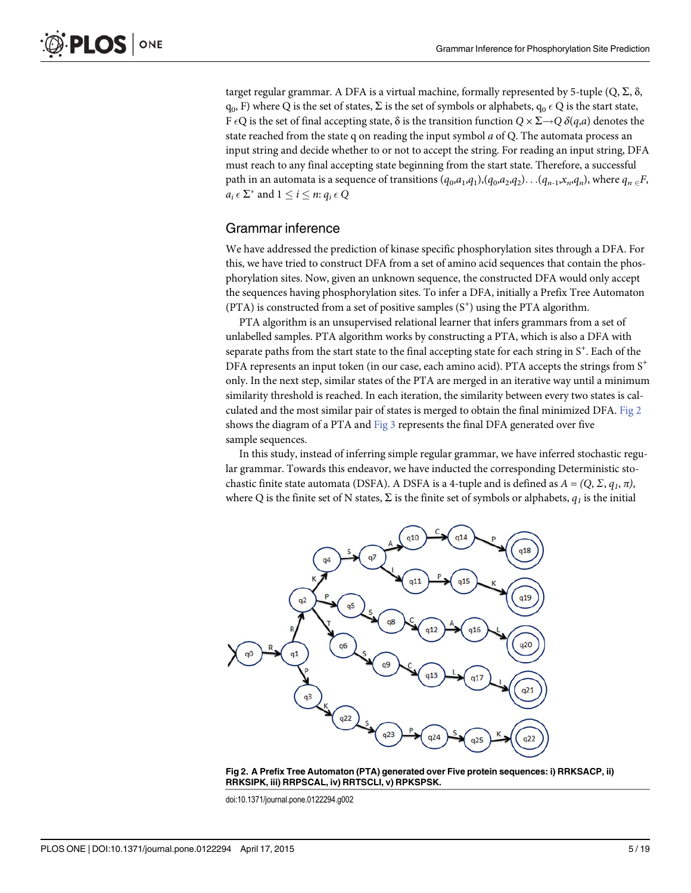<span id="page-4-0"></span>target regular grammar. A DFA is a virtual machine, formally represented by 5-tuple  $(Q, \Sigma, \delta,$  $q_0$ , F) where Q is the set of states,  $\Sigma$  is the set of symbols or alphabets,  $q_0 \in Q$  is the start state, F  $\epsilon Q$  is the set of final accepting state,  $\delta$  is the transition function  $Q \times \Sigma \rightarrow Q \delta(q, a)$  denotes the state reached from the state q on reading the input symbol a of Q. The automata process an input string and decide whether to or not to accept the string. For reading an input string, DFA must reach to any final accepting state beginning from the start state. Therefore, a successful path in an automata is a sequence of transitions  $(q_0,a_1,q_1),(q_0,a_2,q_2)...(q_{n-1},x_n,q_n)$ , where  $q_n \in F$ ,  $a_i \in \Sigma^*$  and  $1 \leq i \leq n$ :  $q_i \in Q$ 

#### Grammar inference

We have addressed the prediction of kinase specific phosphorylation sites through a DFA. For this, we have tried to construct DFA from a set of amino acid sequences that contain the phosphorylation sites. Now, given an unknown sequence, the constructed DFA would only accept the sequences having phosphorylation sites. To infer a DFA, initially a Prefix Tree Automaton  $(PTA)$  is constructed from a set of positive samples  $(S<sup>+</sup>)$  using the PTA algorithm.

PTA algorithm is an unsupervised relational learner that infers grammars from a set of unlabelled samples. PTA algorithm works by constructing a PTA, which is also a DFA with separate paths from the start state to the final accepting state for each string in  $S^+$ . Each of the DFA represents an input token (in our case, each amino acid). PTA accepts the strings from  $S^+$ only. In the next step, similar states of the PTA are merged in an iterative way until a minimum similarity threshold is reached. In each iteration, the similarity between every two states is calculated and the most similar pair of states is merged to obtain the final minimized DFA. Fig  $2$ shows the diagram of a PTA and  $Fig 3$  represents the final DFA generated over five sample sequences.

In this study, instead of inferring simple regular grammar, we have inferred stochastic regular grammar. Towards this endeavor, we have inducted the corresponding Deterministic stochastic finite state automata (DSFA). A DSFA is a 4-tuple and is defined as  $A = (Q, \Sigma, q_1, \pi)$ , where Q is the finite set of N states,  $\Sigma$  is the finite set of symbols or alphabets,  $q_1$  is the initial



Fig 2. A Prefix Tree Automaton (PTA) generated over Five protein sequences: i) RRKSACP, ii) RRKSIPK, iii) RRPSCAL, iv) RRTSCLI, v) RPKSPSK.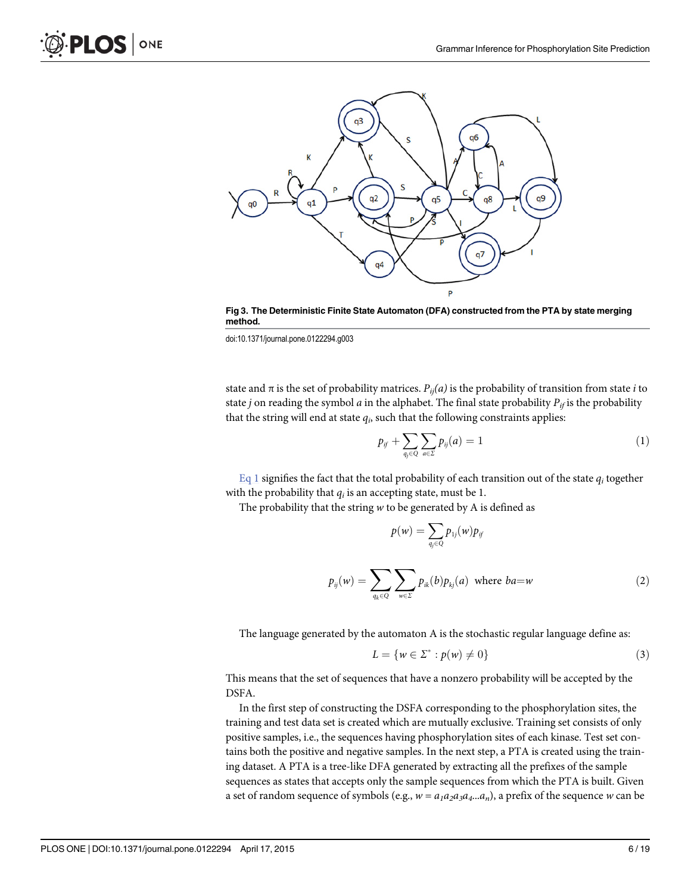<span id="page-5-0"></span>

[Fig 3. T](#page-4-0)he Deterministic Finite State Automaton (DFA) constructed from the PTA by state merging method.

state and  $\pi$  is the set of probability matrices.  $P_{ij}(a)$  is the probability of transition from state *i* to state j on reading the symbol  $a$  in the alphabet. The final state probability  $P_{if}$  is the probability that the string will end at state  $q_i$ , such that the following constraints applies:

$$
p_{ij} + \sum_{q_j \in Q} \sum_{a \in \Sigma} p_{ij}(a) = 1
$$
 (1)

Eq 1 signifies the fact that the total probability of each transition out of the state  $q_i$  together with the probability that  $q_i$  is an accepting state, must be 1.

The probability that the string  $w$  to be generated by A is defined as

$$
p(w) = \sum_{q_j \in Q} p_{1j}(w) p_{if}
$$
  

$$
p_{ij}(w) = \sum_{q_k \in Q} \sum_{w \in \Sigma} p_{ik}(b) p_{kj}(a) \text{ where } ba = w
$$
 (2)

The language generated by the automaton A is the stochastic regular language define as:

$$
L = \{ w \in \Sigma^* : p(w) \neq 0 \}
$$
 (3)

This means that the set of sequences that have a nonzero probability will be accepted by the DSFA.

In the first step of constructing the DSFA corresponding to the phosphorylation sites, the training and test data set is created which are mutually exclusive. Training set consists of only positive samples, i.e., the sequences having phosphorylation sites of each kinase. Test set contains both the positive and negative samples. In the next step, a PTA is created using the training dataset. A PTA is a tree-like DFA generated by extracting all the prefixes of the sample sequences as states that accepts only the sample sequences from which the PTA is built. Given a set of random sequence of symbols (e.g.,  $w = a_1 a_2 a_3 a_4 ... a_n$ ), a prefix of the sequence w can be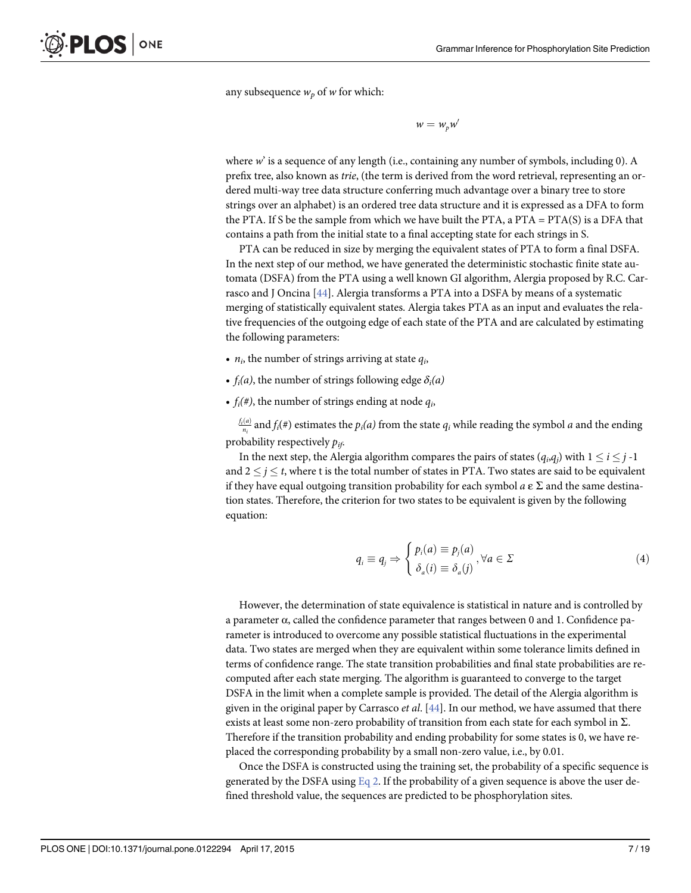<span id="page-6-0"></span>any subsequence  $w_p$  of w for which:

$$
w=w_p w'
$$

where  $w'$  is a sequence of any length (i.e., containing any number of symbols, including  $0$ ). A prefix tree, also known as trie, (the term is derived from the word retrieval, representing an ordered multi-way tree data structure conferring much advantage over a binary tree to store strings over an alphabet) is an ordered tree data structure and it is expressed as a DFA to form the PTA. If S be the sample from which we have built the PTA, a PTA =  $PTA(S)$  is a DFA that contains a path from the initial state to a final accepting state for each strings in S.

PTA can be reduced in size by merging the equivalent states of PTA to form a final DSFA. In the next step of our method, we have generated the deterministic stochastic finite state automata (DSFA) from the PTA using a well known GI algorithm, Alergia proposed by R.C. Carrasco and J Oncina [[44](#page-18-0)]. Alergia transforms a PTA into a DSFA by means of a systematic merging of statistically equivalent states. Alergia takes PTA as an input and evaluates the relative frequencies of the outgoing edge of each state of the PTA and are calculated by estimating the following parameters:

- $n_i$ , the number of strings arriving at state  $q_i$ ,
- $f_i(a)$ , the number of strings following edge  $\delta_i(a)$
- $f_i(\#)$ , the number of strings ending at node  $q_i$ ,

 $\frac{f_i(a)}{n_i}$  and  $f_i(\#)$  estimates the  $p_i(a)$  from the state  $q_i$  while reading the symbol  $a$  and the ending probability respectively  $p_{if}$ .

In the next step, the Alergia algorithm compares the pairs of states  $(q_i, q_j)$  with  $1 \le i \le j$ -1 and  $2 \le j \le t$ , where t is the total number of states in PTA. Two states are said to be equivalent if they have equal outgoing transition probability for each symbol  $a \in \Sigma$  and the same destination states. Therefore, the criterion for two states to be equivalent is given by the following equation:

$$
q_i \equiv q_j \Rightarrow \begin{cases} p_i(a) \equiv p_j(a) \\ \delta_a(i) \equiv \delta_a(j) \end{cases}, \forall a \in \Sigma
$$
 (4)

However, the determination of state equivalence is statistical in nature and is controlled by a parameter  $\alpha$ , called the confidence parameter that ranges between 0 and 1. Confidence parameter is introduced to overcome any possible statistical fluctuations in the experimental data. Two states are merged when they are equivalent within some tolerance limits defined in terms of confidence range. The state transition probabilities and final state probabilities are recomputed after each state merging. The algorithm is guaranteed to converge to the target DSFA in the limit when a complete sample is provided. The detail of the Alergia algorithm is given in the original paper by Carrasco *et al.* [ $44$ ]. In our method, we have assumed that there exists at least some non-zero probability of transition from each state for each symbol in  $\Sigma$ . Therefore if the transition probability and ending probability for some states is 0, we have replaced the corresponding probability by a small non-zero value, i.e., by 0.01.

Once the DSFA is constructed using the training set, the probability of a specific sequence is generated by the DSFA using  $Eq$  2. If the probability of a given sequence is above the user defined threshold value, the sequences are predicted to be phosphorylation sites.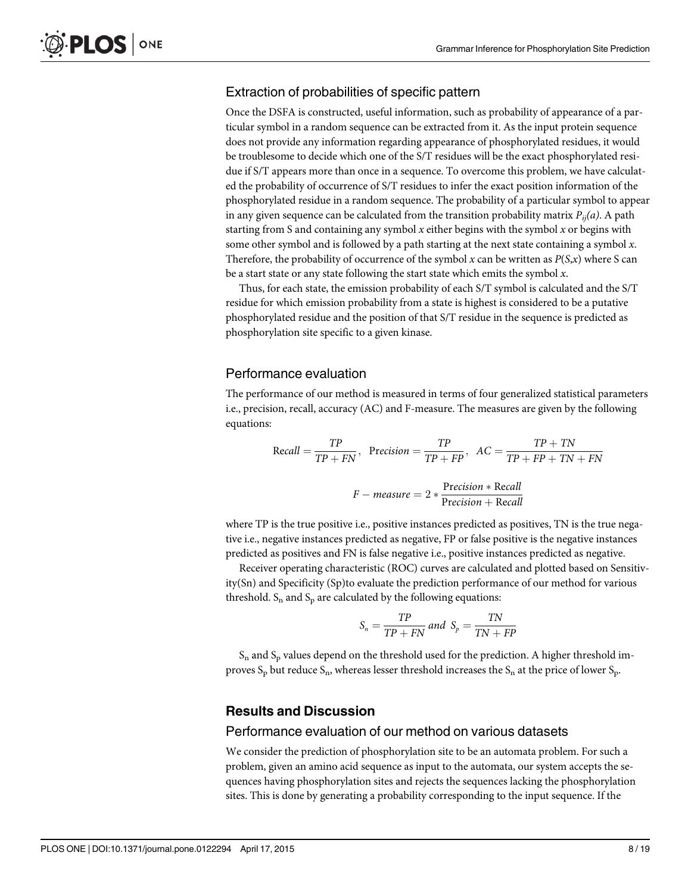# Extraction of probabilities of specific pattern

Once the DSFA is constructed, useful information, such as probability of appearance of a particular symbol in a random sequence can be extracted from it. As the input protein sequence does not provide any information regarding appearance of phosphorylated residues, it would be troublesome to decide which one of the S/T residues will be the exact phosphorylated residue if S/T appears more than once in a sequence. To overcome this problem, we have calculated the probability of occurrence of S/T residues to infer the exact position information of the phosphorylated residue in a random sequence. The probability of a particular symbol to appear in any given sequence can be calculated from the transition probability matrix  $P_{ij}(a)$ . A path starting from S and containing any symbol  $x$  either begins with the symbol  $x$  or begins with some other symbol and is followed by a path starting at the next state containing a symbol  $x$ . Therefore, the probability of occurrence of the symbol  $x$  can be written as  $P(S,x)$  where S can be a start state or any state following the start state which emits the symbol  $x$ .

Thus, for each state, the emission probability of each S/T symbol is calculated and the S/T residue for which emission probability from a state is highest is considered to be a putative phosphorylated residue and the position of that S/T residue in the sequence is predicted as phosphorylation site specific to a given kinase.

#### Performance evaluation

The performance of our method is measured in terms of four generalized statistical parameters i.e., precision, recall, accuracy (AC) and F-measure. The measures are given by the following equations:

$$
Recall = \frac{TP}{TP + FN}, \text{ Precision} = \frac{TP}{TP + FP}, \text{ AC} = \frac{TP + TN}{TP + FP + TN + FN}
$$
\n
$$
F - measure = 2 * \frac{Precision * Recall}{Precision + Recall}
$$

where TP is the true positive i.e., positive instances predicted as positives, TN is the true negative i.e., negative instances predicted as negative, FP or false positive is the negative instances predicted as positives and FN is false negative i.e., positive instances predicted as negative.

Receiver operating characteristic (ROC) curves are calculated and plotted based on Sensitivity(Sn) and Specificity (Sp)to evaluate the prediction performance of our method for various threshold.  $S_n$  and  $S_p$  are calculated by the following equations:

$$
S_n = \frac{TP}{TP + FN} \text{ and } S_p = \frac{TN}{TN + FP}
$$

 $S_n$  and  $S_p$  values depend on the threshold used for the prediction. A higher threshold improves  $S_p$  but reduce  $S_n$ , whereas lesser threshold increases the  $S_n$  at the price of lower  $S_p$ .

#### Results and Discussion

#### Performance evaluation of our method on various datasets

We consider the prediction of phosphorylation site to be an automata problem. For such a problem, given an amino acid sequence as input to the automata, our system accepts the sequences having phosphorylation sites and rejects the sequences lacking the phosphorylation sites. This is done by generating a probability corresponding to the input sequence. If the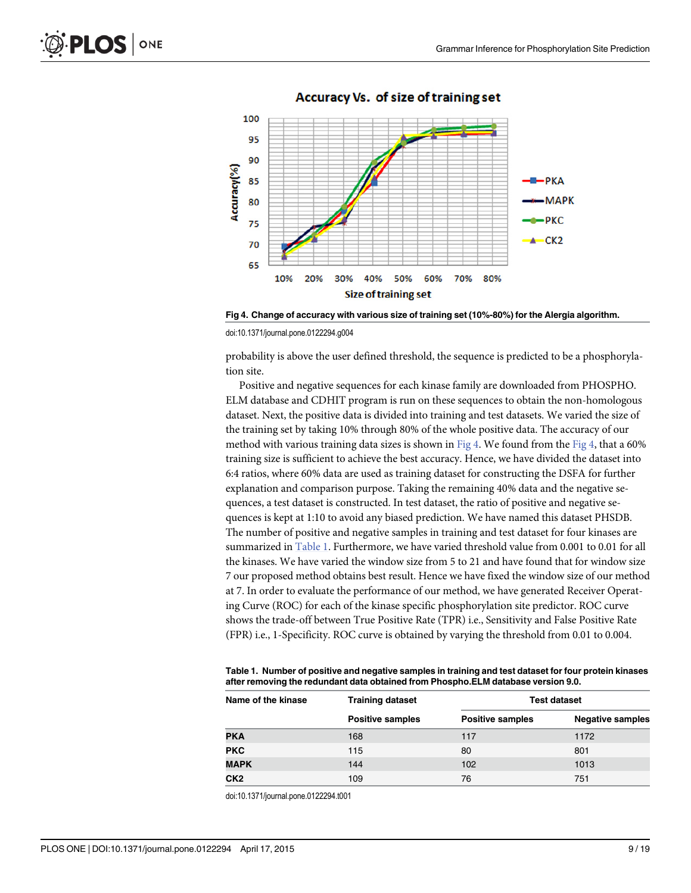

Accuracy Vs. of size of training set



probability is above the user defined threshold, the sequence is predicted to be a phosphorylation site.

Positive and negative sequences for each kinase family are downloaded from PHOSPHO. ELM database and CDHIT program is run on these sequences to obtain the non-homologous dataset. Next, the positive data is divided into training and test datasets. We varied the size of the training set by taking 10% through 80% of the whole positive data. The accuracy of our method with various training data sizes is shown in Fig 4. We found from the Fig 4, that a 60% training size is sufficient to achieve the best accuracy. Hence, we have divided the dataset into 6:4 ratios, where 60% data are used as training dataset for constructing the DSFA for further explanation and comparison purpose. Taking the remaining 40% data and the negative sequences, a test dataset is constructed. In test dataset, the ratio of positive and negative sequences is kept at 1:10 to avoid any biased prediction. We have named this dataset PHSDB. The number of positive and negative samples in training and test dataset for four kinases are summarized in Table 1. Furthermore, we have varied threshold value from 0.001 to 0.01 for all the kinases. We have varied the window size from 5 to 21 and have found that for window size 7 our proposed method obtains best result. Hence we have fixed the window size of our method at 7. In order to evaluate the performance of our method, we have generated Receiver Operating Curve (ROC) for each of the kinase specific phosphorylation site predictor. ROC curve shows the trade-off between True Positive Rate (TPR) i.e., Sensitivity and False Positive Rate (FPR) i.e., 1-Specificity. ROC curve is obtained by varying the threshold from 0.01 to 0.004.

Table 1. Number of positive and negative samples in training and test dataset for four protein kinases after removing the redundant data obtained from Phospho.ELM database version 9.0.

| Name of the kinase | <b>Training dataset</b> | <b>Test dataset</b>     |                         |  |
|--------------------|-------------------------|-------------------------|-------------------------|--|
|                    | <b>Positive samples</b> | <b>Positive samples</b> | <b>Negative samples</b> |  |
| <b>PKA</b>         | 168                     | 117                     | 1172                    |  |
| <b>PKC</b>         | 115                     | 80                      | 801                     |  |
| <b>MAPK</b>        | 144                     | 102                     | 1013                    |  |
| CK <sub>2</sub>    | 109                     | 76                      | 751                     |  |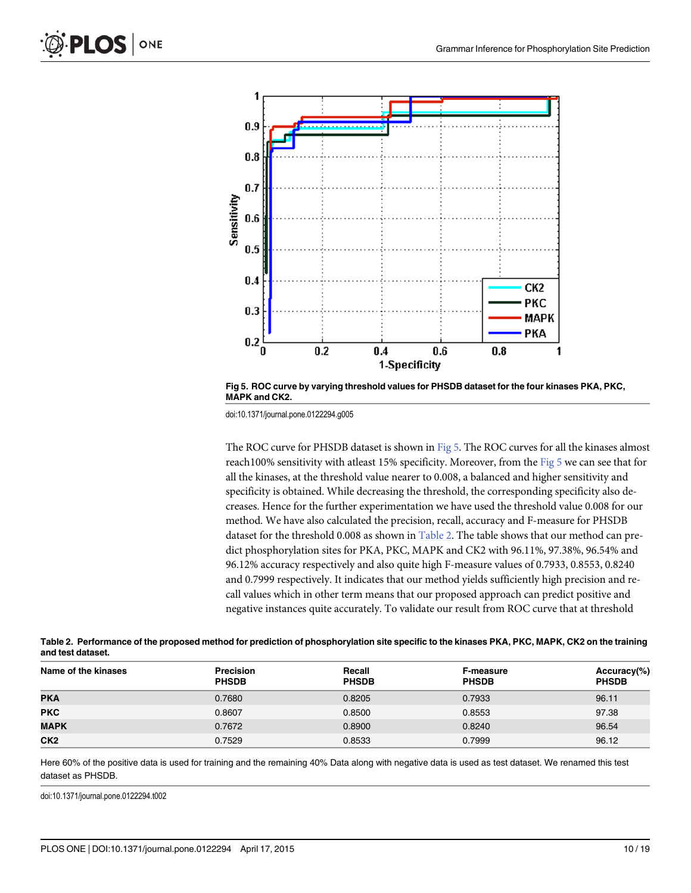

Fig 5. ROC curve by varying threshold values for PHSDB dataset for the four kinases PKA, PKC, MAPK and CK2.

The ROC curve for PHSDB dataset is shown in Fig 5. The ROC curves for all the kinases almost reach100% sensitivity with atleast 15% specificity. Moreover, from the Fig 5 we can see that for all the kinases, at the threshold value nearer to 0.008, a balanced and higher sensitivity and specificity is obtained. While decreasing the threshold, the corresponding specificity also decreases. Hence for the further experimentation we have used the threshold value 0.008 for our method. We have also calculated the precision, recall, accuracy and F-measure for PHSDB dataset for the threshold 0.008 as shown in Table 2. The table shows that our method can predict phosphorylation sites for PKA, PKC, MAPK and CK2 with 96.11%, 97.38%, 96.54% and 96.12% accuracy respectively and also quite high F-measure values of 0.7933, 0.8553, 0.8240 and 0.7999 respectively. It indicates that our method yields sufficiently high precision and recall values which in other term means that our proposed approach can predict positive and negative instances quite accurately. To validate our result from ROC curve that at threshold

|                   | Table 2. Performance of the proposed method for prediction of phosphorylation site specific to the kinases PKA, PKC, MAPK, CK2 on the training |  |  |
|-------------------|------------------------------------------------------------------------------------------------------------------------------------------------|--|--|
| and test dataset. |                                                                                                                                                |  |  |

| Name of the kinases | <b>Precision</b><br><b>PHSDB</b> | Recall<br><b>PHSDB</b> | <b>F-measure</b><br><b>PHSDB</b> | Accuracy(%)<br><b>PHSDB</b> |
|---------------------|----------------------------------|------------------------|----------------------------------|-----------------------------|
| <b>PKA</b>          | 0.7680                           | 0.8205                 | 0.7933                           | 96.11                       |
| <b>PKC</b>          | 0.8607                           | 0.8500                 | 0.8553                           | 97.38                       |
| <b>MAPK</b>         | 0.7672                           | 0.8900                 | 0.8240                           | 96.54                       |
| CK <sub>2</sub>     | 0.7529                           | 0.8533                 | 0.7999                           | 96.12                       |

Here 60% of the positive data is used for training and the remaining 40% Data along with negative data is used as test dataset. We renamed this test dataset as PHSDB.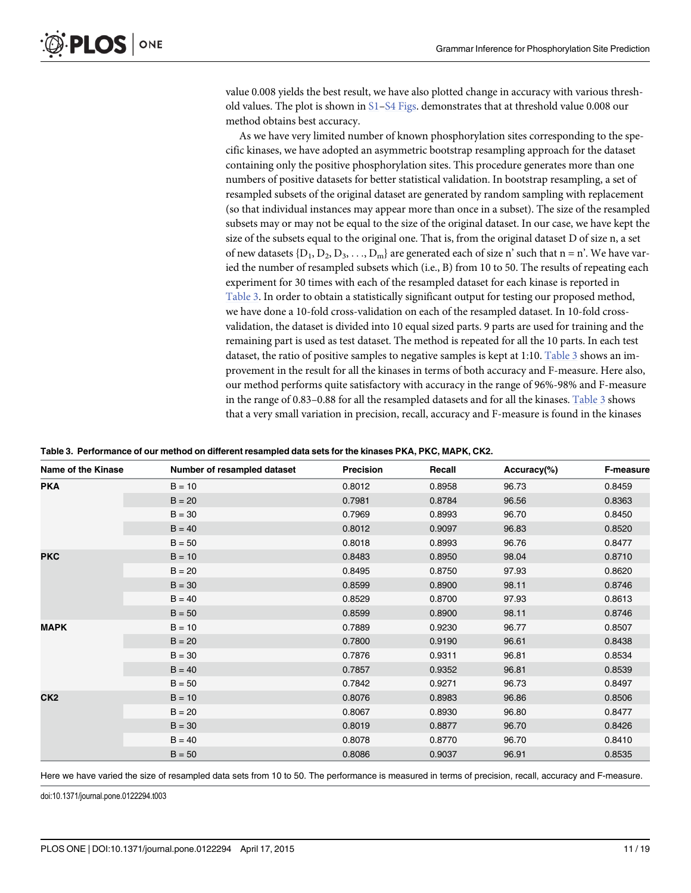<span id="page-10-0"></span>value 0.008 yields the best result, we have also plotted change in accuracy with various threshold values. The plot is shown in [S1](#page-15-0)–[S4 Figs](#page-15-0). demonstrates that at threshold value 0.008 our method obtains best accuracy.

As we have very limited number of known phosphorylation sites corresponding to the specific kinases, we have adopted an asymmetric bootstrap resampling approach for the dataset containing only the positive phosphorylation sites. This procedure generates more than one numbers of positive datasets for better statistical validation. In bootstrap resampling, a set of resampled subsets of the original dataset are generated by random sampling with replacement (so that individual instances may appear more than once in a subset). The size of the resampled subsets may or may not be equal to the size of the original dataset. In our case, we have kept the size of the subsets equal to the original one. That is, from the original dataset D of size n, a set of new datasets  $\{D_1, D_2, D_3, \ldots, D_m\}$  are generated each of size n' such that n = n'. We have varied the number of resampled subsets which (i.e., B) from 10 to 50. The results of repeating each experiment for 30 times with each of the resampled dataset for each kinase is reported in Table 3. In order to obtain a statistically significant output for testing our proposed method, we have done a 10-fold cross-validation on each of the resampled dataset. In 10-fold crossvalidation, the dataset is divided into 10 equal sized parts. 9 parts are used for training and the remaining part is used as test dataset. The method is repeated for all the 10 parts. In each test dataset, the ratio of positive samples to negative samples is kept at 1:10. Table 3 shows an improvement in the result for all the kinases in terms of both accuracy and F-measure. Here also, our method performs quite satisfactory with accuracy in the range of 96%-98% and F-measure in the range of 0.83–0.88 for all the resampled datasets and for all the kinases. Table 3 shows that a very small variation in precision, recall, accuracy and F-measure is found in the kinases

|  |  | Table 3. Performance of our method on different resampled data sets for the kinases PKA, PKC, MAPK, CK2. |  |
|--|--|----------------------------------------------------------------------------------------------------------|--|
|  |  |                                                                                                          |  |

| Name of the Kinase | Number of resampled dataset | Precision | Recall | $Accuracy$ %) | F-measure |
|--------------------|-----------------------------|-----------|--------|---------------|-----------|
| <b>PKA</b>         | $B = 10$                    | 0.8012    | 0.8958 | 96.73         | 0.8459    |
|                    | $B = 20$                    | 0.7981    | 0.8784 | 96.56         | 0.8363    |
|                    | $B = 30$                    | 0.7969    | 0.8993 | 96.70         | 0.8450    |
|                    | $B = 40$                    | 0.8012    | 0.9097 | 96.83         | 0.8520    |
|                    | $B = 50$                    | 0.8018    | 0.8993 | 96.76         | 0.8477    |
| <b>PKC</b>         | $B = 10$                    | 0.8483    | 0.8950 | 98.04         | 0.8710    |
|                    | $B = 20$                    | 0.8495    | 0.8750 | 97.93         | 0.8620    |
|                    | $B = 30$                    | 0.8599    | 0.8900 | 98.11         | 0.8746    |
|                    | $B = 40$                    | 0.8529    | 0.8700 | 97.93         | 0.8613    |
|                    | $B = 50$                    | 0.8599    | 0.8900 | 98.11         | 0.8746    |
| <b>MAPK</b>        | $B = 10$                    | 0.7889    | 0.9230 | 96.77         | 0.8507    |
|                    | $B = 20$                    | 0.7800    | 0.9190 | 96.61         | 0.8438    |
|                    | $B = 30$                    | 0.7876    | 0.9311 | 96.81         | 0.8534    |
|                    | $B = 40$                    | 0.7857    | 0.9352 | 96.81         | 0.8539    |
|                    | $B = 50$                    | 0.7842    | 0.9271 | 96.73         | 0.8497    |
| CK <sub>2</sub>    | $B = 10$                    | 0.8076    | 0.8983 | 96.86         | 0.8506    |
|                    | $B = 20$                    | 0.8067    | 0.8930 | 96.80         | 0.8477    |
|                    | $B = 30$                    | 0.8019    | 0.8877 | 96.70         | 0.8426    |
|                    | $B = 40$                    | 0.8078    | 0.8770 | 96.70         | 0.8410    |
|                    | $B = 50$                    | 0.8086    | 0.9037 | 96.91         | 0.8535    |

Here we have varied the size of resampled data sets from 10 to 50. The performance is measured in terms of precision, recall, accuracy and F-measure.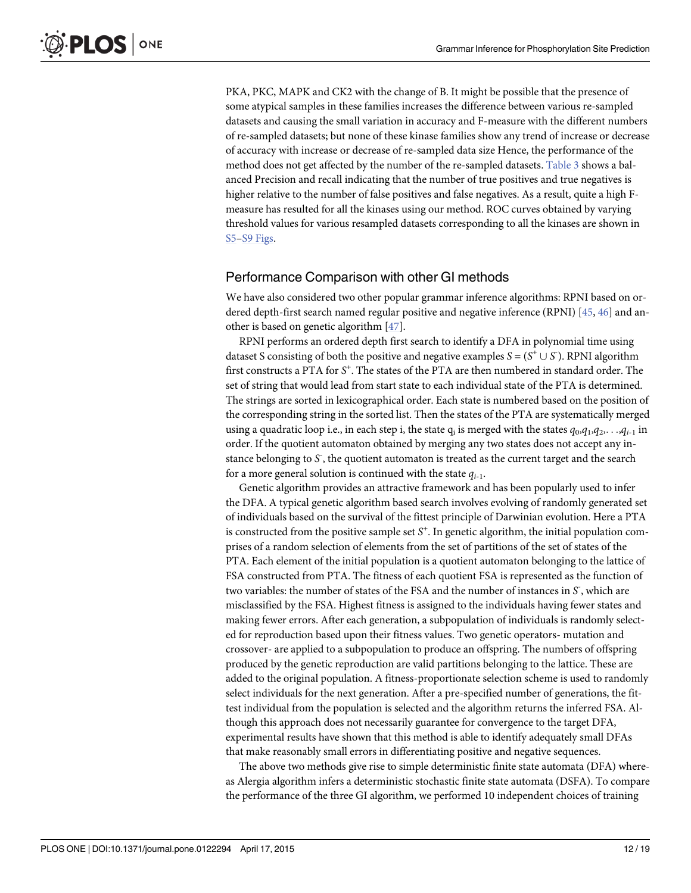<span id="page-11-0"></span>PLOS ONE

PKA, PKC, MAPK and CK2 with the change of B. It might be possible that the presence of some atypical samples in these families increases the difference between various re-sampled datasets and causing the small variation in accuracy and F-measure with the different numbers of re-sampled datasets; but none of these kinase families show any trend of increase or decrease of accuracy with increase or decrease of re-sampled data size Hence, the performance of the method does not get affected by the number of the re-sampled datasets. [Table 3](#page-10-0) shows a balanced Precision and recall indicating that the number of true positives and true negatives is higher relative to the number of false positives and false negatives. As a result, quite a high Fmeasure has resulted for all the kinases using our method. ROC curves obtained by varying threshold values for various resampled datasets corresponding to all the kinases are shown in [S5](#page-15-0)–[S9 Figs](#page-16-0).

#### Performance Comparison with other GI methods

We have also considered two other popular grammar inference algorithms: RPNI based on ordered depth-first search named regular positive and negative inference (RPNI) [[45,](#page-18-0) [46](#page-18-0)] and another is based on genetic algorithm [\[47\]](#page-18-0).

RPNI performs an ordered depth first search to identify a DFA in polynomial time using dataset S consisting of both the positive and negative examples  $S = (S^+ \cup S^*)$ . RPNI algorithm<br>first constructs a PTA for  $S^+$ . The states of the PTA are then numbered in standard order. The first constructs a PTA for  $S^+$ . The states of the PTA are then numbered in standard order. The set of string that would lead from start state to each individual state of the PTA is determined. The strings are sorted in lexicographical order. Each state is numbered based on the position of the corresponding string in the sorted list. Then the states of the PTA are systematically merged using a quadratic loop i.e., in each step i, the state  $q_i$  is merged with the states  $q_0, q_1, q_2, \ldots, q_{i-1}$  in order. If the quotient automaton obtained by merging any two states does not accept any instance belonging to  $S$ , the quotient automaton is treated as the current target and the search for a more general solution is continued with the state  $q_{i-1}$ .

Genetic algorithm provides an attractive framework and has been popularly used to infer the DFA. A typical genetic algorithm based search involves evolving of randomly generated set of individuals based on the survival of the fittest principle of Darwinian evolution. Here a PTA is constructed from the positive sample set  $S^+$ . In genetic algorithm, the initial population comprises of a random selection of elements from the set of partitions of the set of states of the PTA. Each element of the initial population is a quotient automaton belonging to the lattice of FSA constructed from PTA. The fitness of each quotient FSA is represented as the function of two variables: the number of states of the FSA and the number of instances in  $S$ , which are misclassified by the FSA. Highest fitness is assigned to the individuals having fewer states and making fewer errors. After each generation, a subpopulation of individuals is randomly selected for reproduction based upon their fitness values. Two genetic operators- mutation and crossover- are applied to a subpopulation to produce an offspring. The numbers of offspring produced by the genetic reproduction are valid partitions belonging to the lattice. These are added to the original population. A fitness-proportionate selection scheme is used to randomly select individuals for the next generation. After a pre-specified number of generations, the fittest individual from the population is selected and the algorithm returns the inferred FSA. Although this approach does not necessarily guarantee for convergence to the target DFA, experimental results have shown that this method is able to identify adequately small DFAs that make reasonably small errors in differentiating positive and negative sequences.

The above two methods give rise to simple deterministic finite state automata (DFA) whereas Alergia algorithm infers a deterministic stochastic finite state automata (DSFA). To compare the performance of the three GI algorithm, we performed 10 independent choices of training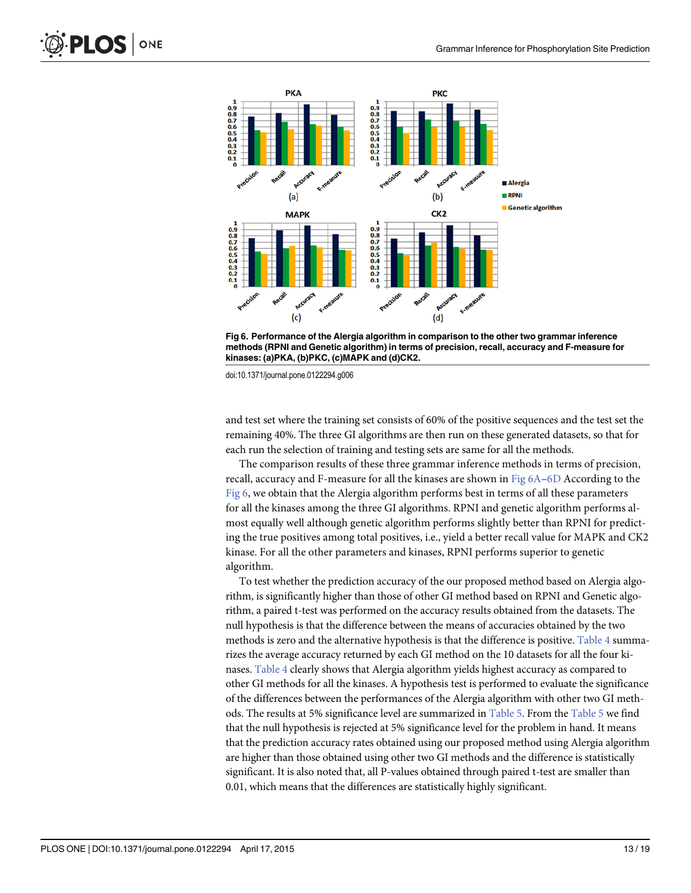<span id="page-12-0"></span>

Fig 6. Performance of the Alergia algorithm in comparison to the other two grammar inference methods (RPNI and Genetic algorithm) in terms of precision, recall, accuracy and F-measure for kinases: (a)PKA, (b)PKC, (c)MAPK and (d)CK2.

and test set where the training set consists of 60% of the positive sequences and the test set the remaining 40%. The three GI algorithms are then run on these generated datasets, so that for each run the selection of training and testing sets are same for all the methods.

The comparison results of these three grammar inference methods in terms of precision, recall, accuracy and F-measure for all the kinases are shown in  $Fig 6A-6D$  According to the Fig 6, we obtain that the Alergia algorithm performs best in terms of all these parameters for all the kinases among the three GI algorithms. RPNI and genetic algorithm performs almost equally well although genetic algorithm performs slightly better than RPNI for predicting the true positives among total positives, i.e., yield a better recall value for MAPK and CK2 kinase. For all the other parameters and kinases, RPNI performs superior to genetic algorithm.

To test whether the prediction accuracy of the our proposed method based on Alergia algorithm, is significantly higher than those of other GI method based on RPNI and Genetic algorithm, a paired t-test was performed on the accuracy results obtained from the datasets. The null hypothesis is that the difference between the means of accuracies obtained by the two methods is zero and the alternative hypothesis is that the difference is positive. [Table 4](#page-13-0) summarizes the average accuracy returned by each GI method on the 10 datasets for all the four kinases. [Table 4](#page-13-0) clearly shows that Alergia algorithm yields highest accuracy as compared to other GI methods for all the kinases. A hypothesis test is performed to evaluate the significance of the differences between the performances of the Alergia algorithm with other two GI meth-ods. The results at 5% significance level are summarized in [Table 5.](#page-13-0) From the [Table 5](#page-13-0) we find that the null hypothesis is rejected at 5% significance level for the problem in hand. It means that the prediction accuracy rates obtained using our proposed method using Alergia algorithm are higher than those obtained using other two GI methods and the difference is statistically significant. It is also noted that, all P-values obtained through paired t-test are smaller than 0.01, which means that the differences are statistically highly significant.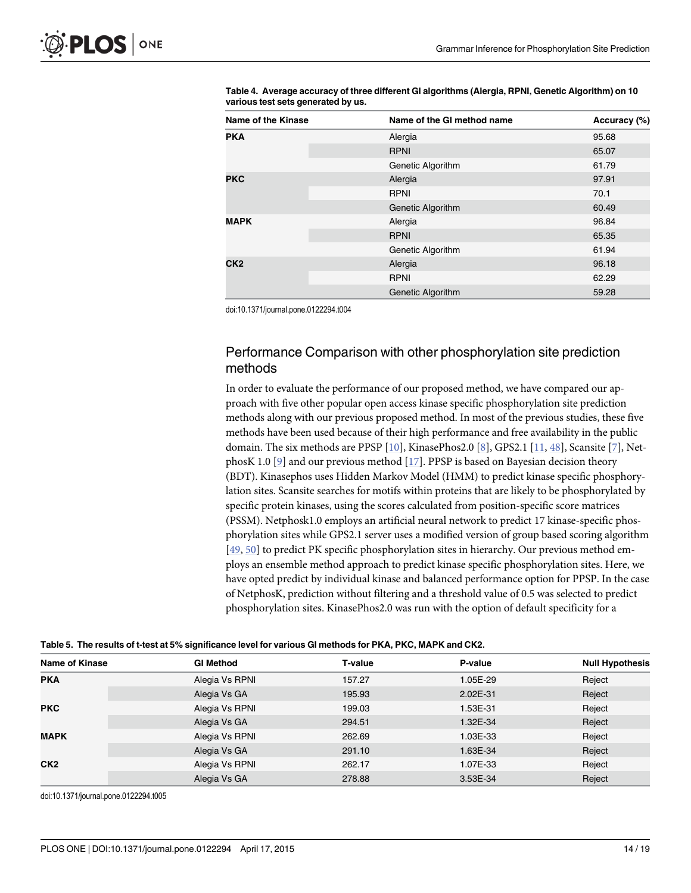| Name of the Kinase | Name of the GI method name | Accuracy (%) |
|--------------------|----------------------------|--------------|
| <b>PKA</b>         | Alergia                    | 95.68        |
|                    | <b>RPNI</b>                | 65.07        |
|                    | Genetic Algorithm          | 61.79        |
| <b>PKC</b>         | Alergia                    | 97.91        |
|                    | <b>RPNI</b>                | 70.1         |
|                    | Genetic Algorithm          | 60.49        |
| <b>MAPK</b>        | Alergia                    | 96.84        |
|                    | <b>RPNI</b>                | 65.35        |
|                    | Genetic Algorithm          | 61.94        |
| CK <sub>2</sub>    | Alergia                    | 96.18        |
|                    | <b>RPNI</b>                | 62.29        |
|                    | Genetic Algorithm          | 59.28        |

<span id="page-13-0"></span>[Table 4.](#page-12-0) Average accuracy of three different GI algorithms (Alergia, RPNI, Genetic Algorithm) on 10 various test sets generated by us.

doi:10.1371/journal.pone.0122294.t004

# Performance Comparison with other phosphorylation site prediction methods

In order to evaluate the performance of our proposed method, we have compared our approach with five other popular open access kinase specific phosphorylation site prediction methods along with our previous proposed method. In most of the previous studies, these five methods have been used because of their high performance and free availability in the public domain. The six methods are PPSP [\[10](#page-17-0)], KinasePhos2.0 [[8\]](#page-17-0), GPS2.1 [\[11,](#page-17-0) [48\]](#page-18-0), Scansite [\[7](#page-17-0)], NetphosK 1.0  $[9]$  $[9]$  and our previous method  $[17]$ . PPSP is based on Bayesian decision theory (BDT). Kinasephos uses Hidden Markov Model (HMM) to predict kinase specific phosphorylation sites. Scansite searches for motifs within proteins that are likely to be phosphorylated by specific protein kinases, using the scores calculated from position-specific score matrices (PSSM). Netphosk1.0 employs an artificial neural network to predict 17 kinase-specific phosphorylation sites while GPS2.1 server uses a modified version of group based scoring algorithm [\[49](#page-18-0), [50\]](#page-18-0) to predict PK specific phosphorylation sites in hierarchy. Our previous method employs an ensemble method approach to predict kinase specific phosphorylation sites. Here, we have opted predict by individual kinase and balanced performance option for PPSP. In the case of NetphosK, prediction without filtering and a threshold value of 0.5 was selected to predict phosphorylation sites. KinasePhos2.0 was run with the option of default specificity for a

|  |  |  |  |  | Table 5. The results of t-test at 5% significance level for various GI methods for PKA, PKC, MAPK and CK2. |
|--|--|--|--|--|------------------------------------------------------------------------------------------------------------|
|--|--|--|--|--|------------------------------------------------------------------------------------------------------------|

| Name of Kinase  | <b>GI Method</b> | <b>T-value</b> | P-value  | <b>Null Hypothesis</b> |
|-----------------|------------------|----------------|----------|------------------------|
| <b>PKA</b>      | Alegia Vs RPNI   | 157.27         | 1.05E-29 | Reject                 |
|                 | Alegia Vs GA     | 195.93         | 2.02E-31 | Reject                 |
| <b>PKC</b>      | Alegia Vs RPNI   | 199.03         | 1.53E-31 | Reject                 |
|                 | Alegia Vs GA     | 294.51         | 1.32E-34 | Reject                 |
| <b>MAPK</b>     | Alegia Vs RPNI   | 262.69         | 1.03E-33 | Reject                 |
|                 | Alegia Vs GA     | 291.10         | 1.63E-34 | Reject                 |
| CK <sub>2</sub> | Alegia Vs RPNI   | 262.17         | 1.07E-33 | Reject                 |
|                 | Alegia Vs GA     | 278.88         | 3.53E-34 | Reject                 |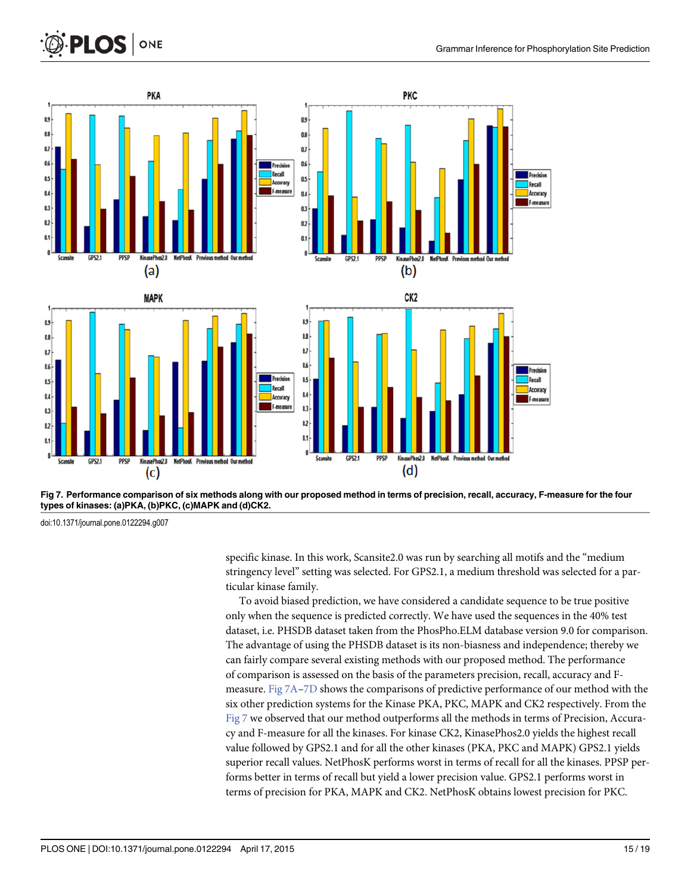

Fig 7. Performance comparison of six methods along with our proposed method in terms of precision, recall, accuracy, F-measure for the four types of kinases: (a)PKA, (b)PKC, (c)MAPK and (d)CK2.

<span id="page-14-0"></span>LOS I

ONE

specific kinase. In this work, Scansite2.0 was run by searching all motifs and the "medium stringency level" setting was selected. For GPS2.1, a medium threshold was selected for a particular kinase family.

To avoid biased prediction, we have considered a candidate sequence to be true positive only when the sequence is predicted correctly. We have used the sequences in the 40% test dataset, i.e. PHSDB dataset taken from the PhosPho.ELM database version 9.0 for comparison. The advantage of using the PHSDB dataset is its non-biasness and independence; thereby we can fairly compare several existing methods with our proposed method. The performance of comparison is assessed on the basis of the parameters precision, recall, accuracy and Fmeasure. Fig 7A–7D shows the comparisons of predictive performance of our method with the six other prediction systems for the Kinase PKA, PKC, MAPK and CK2 respectively. From the Fig 7 we observed that our method outperforms all the methods in terms of Precision, Accuracy and F-measure for all the kinases. For kinase CK2, KinasePhos2.0 yields the highest recall value followed by GPS2.1 and for all the other kinases (PKA, PKC and MAPK) GPS2.1 yields superior recall values. NetPhosK performs worst in terms of recall for all the kinases. PPSP performs better in terms of recall but yield a lower precision value. GPS2.1 performs worst in terms of precision for PKA, MAPK and CK2. NetPhosK obtains lowest precision for PKC.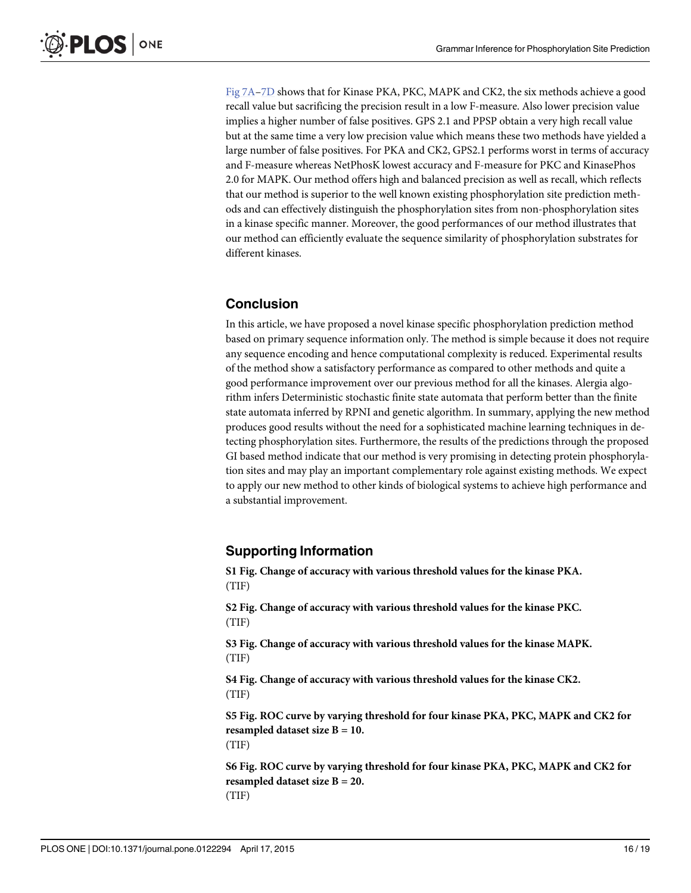<span id="page-15-0"></span>[Fig 7A](#page-14-0)–[7D](#page-14-0) shows that for Kinase PKA, PKC, MAPK and CK2, the six methods achieve a good recall value but sacrificing the precision result in a low F-measure. Also lower precision value implies a higher number of false positives. GPS 2.1 and PPSP obtain a very high recall value but at the same time a very low precision value which means these two methods have yielded a large number of false positives. For PKA and CK2, GPS2.1 performs worst in terms of accuracy and F-measure whereas NetPhosK lowest accuracy and F-measure for PKC and KinasePhos 2.0 for MAPK. Our method offers high and balanced precision as well as recall, which reflects that our method is superior to the well known existing phosphorylation site prediction methods and can effectively distinguish the phosphorylation sites from non-phosphorylation sites in a kinase specific manner. Moreover, the good performances of our method illustrates that our method can efficiently evaluate the sequence similarity of phosphorylation substrates for different kinases.

# Conclusion

In this article, we have proposed a novel kinase specific phosphorylation prediction method based on primary sequence information only. The method is simple because it does not require any sequence encoding and hence computational complexity is reduced. Experimental results of the method show a satisfactory performance as compared to other methods and quite a good performance improvement over our previous method for all the kinases. Alergia algorithm infers Deterministic stochastic finite state automata that perform better than the finite state automata inferred by RPNI and genetic algorithm. In summary, applying the new method produces good results without the need for a sophisticated machine learning techniques in detecting phosphorylation sites. Furthermore, the results of the predictions through the proposed GI based method indicate that our method is very promising in detecting protein phosphorylation sites and may play an important complementary role against existing methods. We expect to apply our new method to other kinds of biological systems to achieve high performance and a substantial improvement.

# Supporting Information

[S1 Fig.](http://www.plosone.org/article/fetchSingleRepresentation.action?uri=info:doi/10.1371/journal.pone.0122294.s001) Change of accuracy with various threshold values for the kinase PKA. (TIF)

[S2 Fig.](http://www.plosone.org/article/fetchSingleRepresentation.action?uri=info:doi/10.1371/journal.pone.0122294.s002) Change of accuracy with various threshold values for the kinase PKC. (TIF)

[S3 Fig.](http://www.plosone.org/article/fetchSingleRepresentation.action?uri=info:doi/10.1371/journal.pone.0122294.s003) Change of accuracy with various threshold values for the kinase MAPK. (TIF)

[S4 Fig.](http://www.plosone.org/article/fetchSingleRepresentation.action?uri=info:doi/10.1371/journal.pone.0122294.s004) Change of accuracy with various threshold values for the kinase CK2. (TIF)

[S5 Fig.](http://www.plosone.org/article/fetchSingleRepresentation.action?uri=info:doi/10.1371/journal.pone.0122294.s005) ROC curve by varying threshold for four kinase PKA, PKC, MAPK and CK2 for resampled dataset size B = 10. (TIF)

[S6 Fig.](http://www.plosone.org/article/fetchSingleRepresentation.action?uri=info:doi/10.1371/journal.pone.0122294.s006) ROC curve by varying threshold for four kinase PKA, PKC, MAPK and CK2 for resampled dataset size B = 20. (TIF)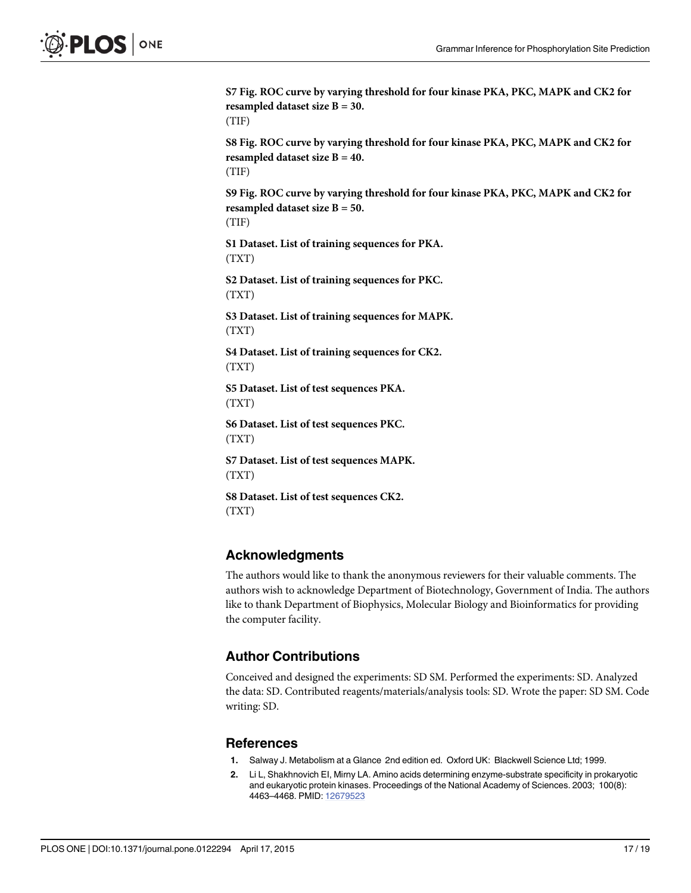<span id="page-16-0"></span>[S7 Fig.](http://www.plosone.org/article/fetchSingleRepresentation.action?uri=info:doi/10.1371/journal.pone.0122294.s008) ROC curve by varying threshold for four kinase PKA, PKC, MAPK and CK2 for resampled dataset size B = 30.

(TIF)

[S8 Fig.](http://www.plosone.org/article/fetchSingleRepresentation.action?uri=info:doi/10.1371/journal.pone.0122294.s008) ROC curve by varying threshold for four kinase PKA, PKC, MAPK and CK2 for resampled dataset size B = 40. (TIF)

[S9 Fig.](http://www.plosone.org/article/fetchSingleRepresentation.action?uri=info:doi/10.1371/journal.pone.0122294.s009) ROC curve by varying threshold for four kinase PKA, PKC, MAPK and CK2 for resampled dataset size B = 50.

(TIF)

[S1 Dataset.](http://www.plosone.org/article/fetchSingleRepresentation.action?uri=info:doi/10.1371/journal.pone.0122294.s010) List of training sequences for PKA. (TXT)

[S2 Dataset.](http://www.plosone.org/article/fetchSingleRepresentation.action?uri=info:doi/10.1371/journal.pone.0122294.s011) List of training sequences for PKC. (TXT)

[S3 Dataset.](http://www.plosone.org/article/fetchSingleRepresentation.action?uri=info:doi/10.1371/journal.pone.0122294.s012) List of training sequences for MAPK. (TXT)

[S4 Dataset.](http://www.plosone.org/article/fetchSingleRepresentation.action?uri=info:doi/10.1371/journal.pone.0122294.s013) List of training sequences for CK2. (TXT)

[S5 Dataset.](http://www.plosone.org/article/fetchSingleRepresentation.action?uri=info:doi/10.1371/journal.pone.0122294.s014) List of test sequences PKA. (TXT)

[S6 Dataset.](http://www.plosone.org/article/fetchSingleRepresentation.action?uri=info:doi/10.1371/journal.pone.0122294.s015) List of test sequences PKC. (TXT)

[S7 Dataset.](http://www.plosone.org/article/fetchSingleRepresentation.action?uri=info:doi/10.1371/journal.pone.0122294.s016) List of test sequences MAPK. (TXT)

[S8 Dataset.](http://www.plosone.org/article/fetchSingleRepresentation.action?uri=info:doi/10.1371/journal.pone.0122294.s017) List of test sequences CK2. (TXT)

# Acknowledgments

The authors would like to thank the anonymous reviewers for their valuable comments. The authors wish to acknowledge Department of Biotechnology, Government of India. The authors like to thank Department of Biophysics, Molecular Biology and Bioinformatics for providing the computer facility.

# Author Contributions

Conceived and designed the experiments: SD SM. Performed the experiments: SD. Analyzed the data: SD. Contributed reagents/materials/analysis tools: SD. Wrote the paper: SD SM. Code writing: SD.

#### **References**

- [1.](#page-1-0) Salway J. Metabolism at a Glance 2nd edition ed. Oxford UK: Blackwell Science Ltd; 1999.
- [2.](#page-1-0) Li L, Shakhnovich EI, Mirny LA. Amino acids determining enzyme-substrate specificity in prokaryotic and eukaryotic protein kinases. Proceedings of the National Academy of Sciences. 2003; 100(8): 4463–4468. PMID: [12679523](http://www.ncbi.nlm.nih.gov/pubmed/12679523)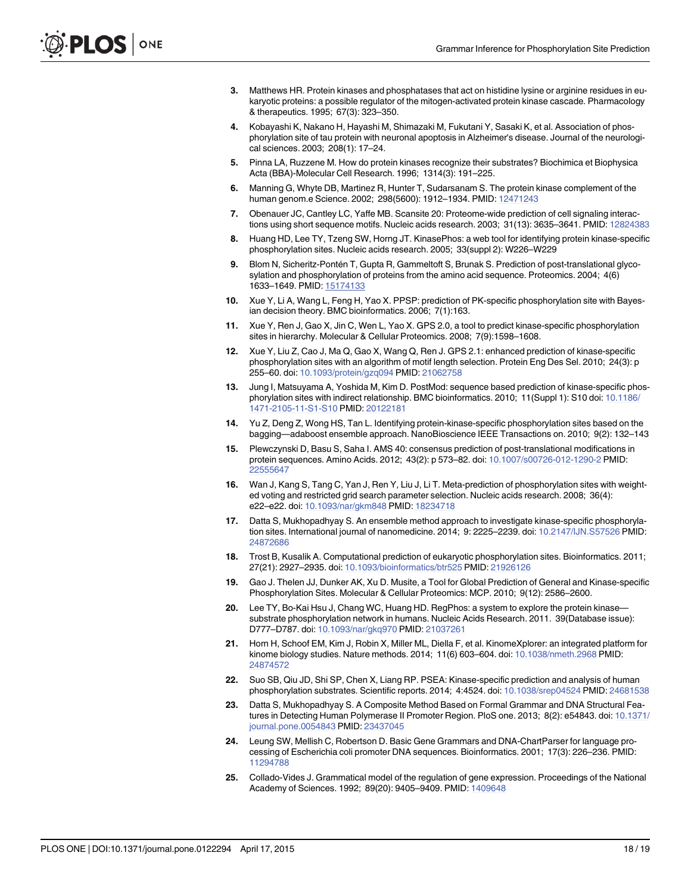- <span id="page-17-0"></span>[3.](#page-1-0) Matthews HR. Protein kinases and phosphatases that act on histidine lysine or arginine residues in eukaryotic proteins: a possible regulator of the mitogen-activated protein kinase cascade. Pharmacology & therapeutics. 1995; 67(3): 323–350.
- [4.](#page-1-0) Kobayashi K, Nakano H, Hayashi M, Shimazaki M, Fukutani Y, Sasaki K, et al. Association of phosphorylation site of tau protein with neuronal apoptosis in Alzheimer's disease. Journal of the neurological sciences. 2003; 208(1): 17–24.
- [5.](#page-1-0) Pinna LA, Ruzzene M. How do protein kinases recognize their substrates? Biochimica et Biophysica Acta (BBA)-Molecular Cell Research. 1996; 1314(3): 191–225.
- [6.](#page-1-0) Manning G, Whyte DB, Martinez R, Hunter T, Sudarsanam S. The protein kinase complement of the human genom.e Science. 2002; 298(5600): 1912–1934. PMID: [12471243](http://www.ncbi.nlm.nih.gov/pubmed/12471243)
- [7.](#page-1-0) Obenauer JC, Cantley LC, Yaffe MB. Scansite 20: Proteome-wide prediction of cell signaling interac-tions using short sequence motifs. Nucleic acids research. 2003; 31(13): 3635-3641. PMID: [12824383](http://www.ncbi.nlm.nih.gov/pubmed/12824383)
- [8.](#page-1-0) Huang HD, Lee TY, Tzeng SW, Horng JT. KinasePhos: a web tool for identifying protein kinase-specific phosphorylation sites. Nucleic acids research. 2005; 33(suppl 2): W226–W229
- [9.](#page-1-0) Blom N, Sicheritz-Pontén T, Gupta R, Gammeltoft S, Brunak S. Prediction of post-translational glycosylation and phosphorylation of proteins from the amino acid sequence. Proteomics. 2004; 4(6) 1633–1649. PMID: [15174133](http://www.ncbi.nlm.nih.gov/pubmed/15174133)
- [10.](#page-1-0) Xue Y, Li A, Wang L, Feng H, Yao X. PPSP: prediction of PK-specific phosphorylation site with Bayesian decision theory. BMC bioinformatics. 2006; 7(1):163.
- [11.](#page-1-0) Xue Y, Ren J, Gao X, Jin C, Wen L, Yao X. GPS 2.0, a tool to predict kinase-specific phosphorylation sites in hierarchy. Molecular & Cellular Proteomics. 2008; 7(9):1598–1608.
- [12.](#page-1-0) Xue Y, Liu Z, Cao J, Ma Q, Gao X, Wang Q, Ren J. GPS 2.1: enhanced prediction of kinase-specific phosphorylation sites with an algorithm of motif length selection. Protein Eng Des Sel. 2010; 24(3): p 255–60. doi: [10.1093/protein/gzq094](http://dx.doi.org/10.1093/protein/gzq094) PMID: [21062758](http://www.ncbi.nlm.nih.gov/pubmed/21062758)
- [13.](#page-1-0) Jung I, Matsuyama A, Yoshida M, Kim D. PostMod: sequence based prediction of kinase-specific phosphorylation sites with indirect relationship. BMC bioinformatics. 2010; 11(Suppl 1): S10 doi: [10.1186/](http://dx.doi.org/10.1186/1471-2105-11-S1-S10) [1471-2105-11-S1-S10](http://dx.doi.org/10.1186/1471-2105-11-S1-S10) PMID: [20122181](http://www.ncbi.nlm.nih.gov/pubmed/20122181)
- [14.](#page-1-0) Yu Z, Deng Z, Wong HS, Tan L. Identifying protein-kinase-specific phosphorylation sites based on the bagging—adaboost ensemble approach. NanoBioscience IEEE Transactions on. 2010; 9(2): 132–143
- [15.](#page-1-0) Plewczynski D, Basu S, Saha I. AMS 40: consensus prediction of post-translational modifications in protein sequences. Amino Acids. 2012; 43(2): p 573–82. doi: [10.1007/s00726-012-1290-2](http://dx.doi.org/10.1007/s00726-012-1290-2) PMID: [22555647](http://www.ncbi.nlm.nih.gov/pubmed/22555647)
- [16.](#page-1-0) Wan J, Kang S, Tang C, Yan J, Ren Y, Liu J, Li T. Meta-prediction of phosphorylation sites with weighted voting and restricted grid search parameter selection. Nucleic acids research. 2008; 36(4): e22–e22. doi: [10.1093/nar/gkm848](http://dx.doi.org/10.1093/nar/gkm848) PMID: [18234718](http://www.ncbi.nlm.nih.gov/pubmed/18234718)
- [17.](#page-1-0) Datta S, Mukhopadhyay S. An ensemble method approach to investigate kinase-specific phosphoryla-tion sites. International journal of nanomedicine. 2014; 9: 2225-2239. doi: [10.2147/IJN.S57526](http://dx.doi.org/10.2147/IJN.S57526) PMID: [24872686](http://www.ncbi.nlm.nih.gov/pubmed/24872686)
- [18.](#page-1-0) Trost B, Kusalik A. Computational prediction of eukaryotic phosphorylation sites. Bioinformatics. 2011; 27(21): 2927–2935. doi: [10.1093/bioinformatics/btr525](http://dx.doi.org/10.1093/bioinformatics/btr525) PMID: [21926126](http://www.ncbi.nlm.nih.gov/pubmed/21926126)
- [19.](#page-1-0) Gao J. Thelen JJ, Dunker AK, Xu D. Musite, a Tool for Global Prediction of General and Kinase-specific Phosphorylation Sites. Molecular & Cellular Proteomics: MCP. 2010; 9(12): 2586–2600.
- [20.](#page-1-0) Lee TY, Bo-Kai Hsu J, Chang WC, Huang HD. RegPhos: a system to explore the protein kinasesubstrate phosphorylation network in humans. Nucleic Acids Research. 2011. 39(Database issue): D777–D787. doi: [10.1093/nar/gkq970](http://dx.doi.org/10.1093/nar/gkq970) PMID: [21037261](http://www.ncbi.nlm.nih.gov/pubmed/21037261)
- [21.](#page-1-0) Horn H, Schoof EM, Kim J, Robin X, Miller ML, Diella F, et al. KinomeXplorer: an integrated platform for kinome biology studies. Nature methods. 2014; 11(6) 603–604. doi: [10.1038/nmeth.2968](http://dx.doi.org/10.1038/nmeth.2968) PMID: [24874572](http://www.ncbi.nlm.nih.gov/pubmed/24874572)
- [22.](#page-1-0) Suo SB, Qiu JD, Shi SP, Chen X, Liang RP. PSEA: Kinase-specific prediction and analysis of human phosphorylation substrates. Scientific reports. 2014; 4:4524. doi: [10.1038/srep04524](http://dx.doi.org/10.1038/srep04524) PMID: [24681538](http://www.ncbi.nlm.nih.gov/pubmed/24681538)
- [23.](#page-1-0) Datta S, Mukhopadhyay S. A Composite Method Based on Formal Grammar and DNA Structural Fea-tures in Detecting Human Polymerase II Promoter Region. PloS one. 2013; 8(2): e54843. doi: [10.1371/](http://dx.doi.org/10.1371/journal.pone.0054843) [journal.pone.0054843](http://dx.doi.org/10.1371/journal.pone.0054843) PMID: [23437045](http://www.ncbi.nlm.nih.gov/pubmed/23437045)
- [24.](#page-1-0) Leung SW, Mellish C, Robertson D. Basic Gene Grammars and DNA-ChartParser for language processing of Escherichia coli promoter DNA sequences. Bioinformatics. 2001; 17(3): 226–236. PMID: [11294788](http://www.ncbi.nlm.nih.gov/pubmed/11294788)
- [25.](#page-1-0) Collado-Vides J. Grammatical model of the regulation of gene expression. Proceedings of the National Academy of Sciences. 1992; 89(20): 9405-9409. PMID: [1409648](http://www.ncbi.nlm.nih.gov/pubmed/1409648)